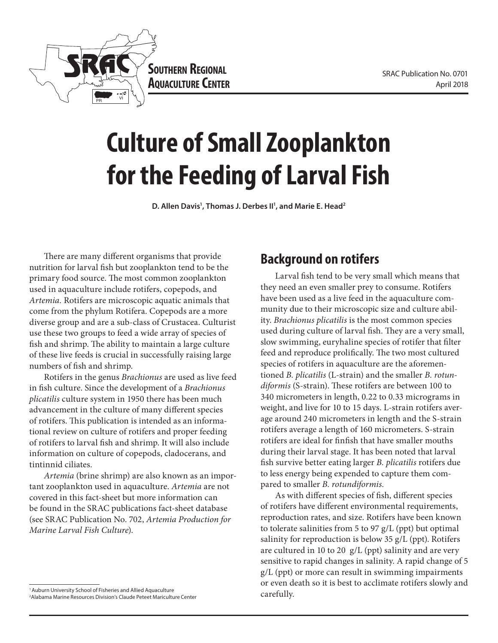



# **Culture of Small Zooplankton for the Feeding of Larval Fish**

**D. Allen Davis1 , Thomas J. Derbes II1 , and Marie E. Head2**

There are many different organisms that provide nutrition for larval fish but zooplankton tend to be the primary food source. The most common zooplankton used in aquaculture include rotifers, copepods, and *Artemia.* Rotifers are microscopic aquatic animals that come from the phylum Rotifera. Copepods are a more diverse group and are a sub-class of Crustacea. Culturist use these two groups to feed a wide array of species of fish and shrimp. The ability to maintain a large culture of these live feeds is crucial in successfully raising large numbers of fish and shrimp.

Rotifers in the genus *Brachionus* are used as live feed in fish culture. Since the development of a *Brachionus plicatilis* culture system in 1950 there has been much advancement in the culture of many different species of rotifers. This publication is intended as an informational review on culture of rotifers and proper feeding of rotifers to larval fish and shrimp. It will also include information on culture of copepods, cladocerans, and tintinnid ciliates.

*Artemia* (brine shrimp) are also known as an important zooplankton used in aquaculture. *Artemia* are not covered in this fact-sheet but more information can be found in the SRAC publications fact-sheet database (see SRAC Publication No. 702, *Artemia Production for Marine Larval Fish Culture*).

#### <sup>1</sup> Auburn University School of Fisheries and Allied Aquaculture

2 Alabama Marine Resources Division's Claude Peteet Mariculture Center

#### **Background on rotifers**

Larval fish tend to be very small which means that they need an even smaller prey to consume. Rotifers have been used as a live feed in the aquaculture community due to their microscopic size and culture ability. *Brachionus plicatilis* is the most common species used during culture of larval fish. They are a very small, slow swimming, euryhaline species of rotifer that filter feed and reproduce prolifically. The two most cultured species of rotifers in aquaculture are the aforementioned *B. plicatilis* (L-strain) and the smaller *B. rotundiformis* (S-strain). These rotifers are between 100 to 340 micrometers in length, 0.22 to 0.33 micrograms in weight, and live for 10 to 15 days. L-strain rotifers average around 240 micrometers in length and the S-strain rotifers average a length of 160 micrometers. S-strain rotifers are ideal for finfish that have smaller mouths during their larval stage. It has been noted that larval fish survive better eating larger *B. plicatilis* rotifers due to less energy being expended to capture them compared to smaller *B. rotundiformis.* 

As with different species of fish, different species of rotifers have different environmental requirements, reproduction rates, and size. Rotifers have been known to tolerate salinities from 5 to 97 g/L (ppt) but optimal salinity for reproduction is below 35 g/L (ppt). Rotifers are cultured in 10 to 20 g/L (ppt) salinity and are very sensitive to rapid changes in salinity. A rapid change of 5 g/L (ppt) or more can result in swimming impairments or even death so it is best to acclimate rotifers slowly and carefully.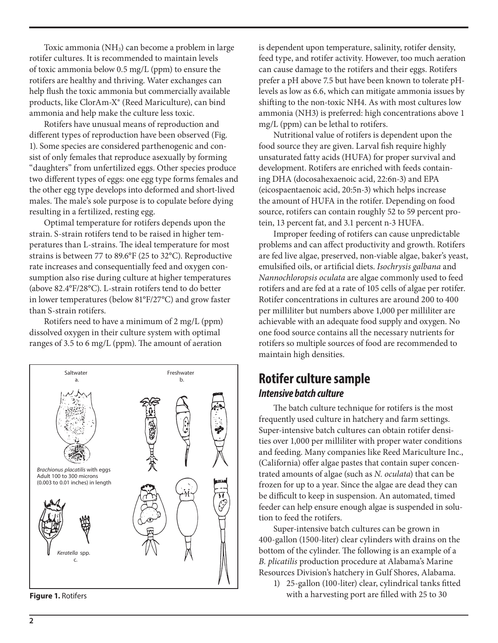Toxic ammonia (NH3) can become a problem in large rotifer cultures. It is recommended to maintain levels of toxic ammonia below 0.5 mg/L (ppm) to ensure the rotifers are healthy and thriving. Water exchanges can help flush the toxic ammonia but commercially available products, like ClorAm-X® (Reed Mariculture), can bind ammonia and help make the culture less toxic.

Rotifers have unusual means of reproduction and different types of reproduction have been observed (Fig. 1). Some species are considered parthenogenic and consist of only females that reproduce asexually by forming "daughters" from unfertilized eggs. Other species produce two different types of eggs: one egg type forms females and the other egg type develops into deformed and short-lived males. The male's sole purpose is to copulate before dying resulting in a fertilized, resting egg.

Optimal temperature for rotifers depends upon the strain. S-strain rotifers tend to be raised in higher temperatures than L-strains. The ideal temperature for most strains is between 77 to 89.6°F (25 to 32°C). Reproductive rate increases and consequentially feed and oxygen consumption also rise during culture at higher temperatures (above 82.4°F/28°C). L-strain rotifers tend to do better in lower temperatures (below 81°F/27°C) and grow faster than S-strain rotifers.

Rotifers need to have a minimum of 2 mg/L (ppm) dissolved oxygen in their culture system with optimal ranges of 3.5 to 6 mg/L (ppm). The amount of aeration



is dependent upon temperature, salinity, rotifer density, feed type, and rotifer activity. However, too much aeration can cause damage to the rotifers and their eggs. Rotifers prefer a pH above 7.5 but have been known to tolerate pHlevels as low as 6.6, which can mitigate ammonia issues by shifting to the non-toxic NH4. As with most cultures low ammonia (NH3) is preferred: high concentrations above 1 mg/L (ppm) can be lethal to rotifers.

Nutritional value of rotifers is dependent upon the food source they are given. Larval fish require highly unsaturated fatty acids (HUFA) for proper survival and development. Rotifers are enriched with feeds containing DHA (docosahexaenoic acid, 22:6n-3) and EPA (eicospaentaenoic acid, 20:5n-3) which helps increase the amount of HUFA in the rotifer. Depending on food source, rotifers can contain roughly 52 to 59 percent protein, 13 percent fat, and 3.1 percent n-3 HUFA.

Improper feeding of rotifers can cause unpredictable problems and can affect productivity and growth. Rotifers are fed live algae, preserved, non-viable algae, baker's yeast, emulsified oils, or artificial diets. *Isochrysis galbana* and *Nannochloropsis oculata* are algae commonly used to feed rotifers and are fed at a rate of 105 cells of algae per rotifer. Rotifer concentrations in cultures are around 200 to 400 per milliliter but numbers above 1,000 per milliliter are achievable with an adequate food supply and oxygen. No one food source contains all the necessary nutrients for rotifers so multiple sources of food are recommended to maintain high densities.

#### **Rotifer culture sample** *Intensive batch culture*

The batch culture technique for rotifers is the most frequently used culture in hatchery and farm settings. Super-intensive batch cultures can obtain rotifer densities over 1,000 per milliliter with proper water conditions and feeding. Many companies like Reed Mariculture Inc., (California) offer algae pastes that contain super concentrated amounts of algae (such as *N. oculata*) that can be frozen for up to a year. Since the algae are dead they can be difficult to keep in suspension. An automated, timed feeder can help ensure enough algae is suspended in solution to feed the rotifers.

Super-intensive batch cultures can be grown in 400-gallon (1500-liter) clear cylinders with drains on the bottom of the cylinder. The following is an example of a *B. plicatilis* production procedure at Alabama's Marine Resources Division's hatchery in Gulf Shores, Alabama.

1) 25-gallon (100-liter) clear, cylindrical tanks fitted **Figure 1.** Rotifers **Figure 1.** Rotifers **Figure 1.** Rotifers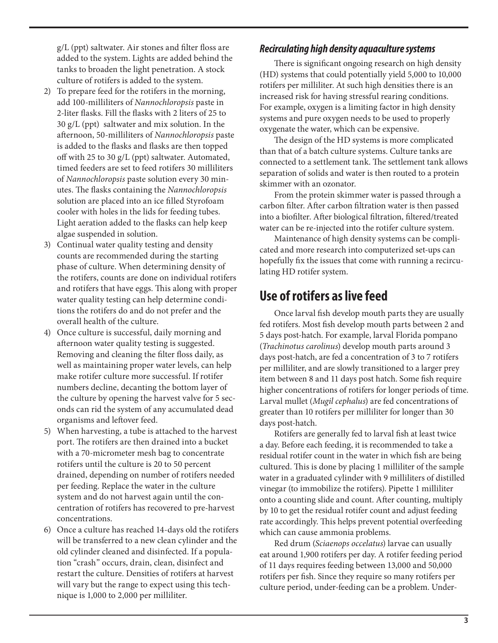g/L (ppt) saltwater. Air stones and filter floss are added to the system. Lights are added behind the tanks to broaden the light penetration. A stock culture of rotifers is added to the system.

- 2) To prepare feed for the rotifers in the morning, add 100-milliliters of *Nannochloropsis* paste in 2-liter flasks. Fill the flasks with 2 liters of 25 to 30 g/L (ppt) saltwater and mix solution. In the afternoon, 50-milliliters of *Nannochloropsis* paste is added to the flasks and flasks are then topped off with 25 to 30 g/L (ppt) saltwater. Automated, timed feeders are set to feed rotifers 30 milliliters of *Nannochloropsis* paste solution every 30 minutes. The flasks containing the *Nannochloropsis*  solution are placed into an ice filled Styrofoam cooler with holes in the lids for feeding tubes. Light aeration added to the flasks can help keep algae suspended in solution.
- 3) Continual water quality testing and density counts are recommended during the starting phase of culture. When determining density of the rotifers, counts are done on individual rotifers and rotifers that have eggs. This along with proper water quality testing can help determine conditions the rotifers do and do not prefer and the overall health of the culture.
- 4) Once culture is successful, daily morning and afternoon water quality testing is suggested. Removing and cleaning the filter floss daily, as well as maintaining proper water levels, can help make rotifer culture more successful. If rotifer numbers decline, decanting the bottom layer of the culture by opening the harvest valve for 5 seconds can rid the system of any accumulated dead organisms and leftover feed.
- 5) When harvesting, a tube is attached to the harvest port. The rotifers are then drained into a bucket with a 70-micrometer mesh bag to concentrate rotifers until the culture is 20 to 50 percent drained, depending on number of rotifers needed per feeding. Replace the water in the culture system and do not harvest again until the concentration of rotifers has recovered to pre-harvest concentrations.
- 6) Once a culture has reached 14-days old the rotifers will be transferred to a new clean cylinder and the old cylinder cleaned and disinfected. If a population "crash" occurs, drain, clean, disinfect and restart the culture. Densities of rotifers at harvest will vary but the range to expect using this technique is 1,000 to 2,000 per milliliter.

#### *Recirculating high density aquaculture systems*

There is significant ongoing research on high density (HD) systems that could potentially yield 5,000 to 10,000 rotifers per milliliter. At such high densities there is an increased risk for having stressful rearing conditions. For example, oxygen is a limiting factor in high density systems and pure oxygen needs to be used to properly oxygenate the water, which can be expensive.

The design of the HD systems is more complicated than that of a batch culture systems. Culture tanks are connected to a settlement tank. The settlement tank allows separation of solids and water is then routed to a protein skimmer with an ozonator.

From the protein skimmer water is passed through a carbon filter. After carbon filtration water is then passed into a biofilter. After biological filtration, filtered/treated water can be re-injected into the rotifer culture system.

Maintenance of high density systems can be complicated and more research into computerized set-ups can hopefully fix the issues that come with running a recirculating HD rotifer system.

#### **Use of rotifers as live feed**

Once larval fish develop mouth parts they are usually fed rotifers. Most fish develop mouth parts between 2 and 5 days post-hatch. For example, larval Florida pompano (*Trachinotus carolinus*) develop mouth parts around 3 days post-hatch, are fed a concentration of 3 to 7 rotifers per milliliter, and are slowly transitioned to a larger prey item between 8 and 11 days post hatch. Some fish require higher concentrations of rotifers for longer periods of time. Larval mullet (*Mugil cephalus*) are fed concentrations of greater than 10 rotifers per milliliter for longer than 30 days post-hatch.

Rotifers are generally fed to larval fish at least twice a day. Before each feeding, it is recommended to take a residual rotifer count in the water in which fish are being cultured. This is done by placing 1 milliliter of the sample water in a graduated cylinder with 9 milliliters of distilled vinegar (to immobilize the rotifers). Pipette 1 milliliter onto a counting slide and count. After counting, multiply by 10 to get the residual rotifer count and adjust feeding rate accordingly. This helps prevent potential overfeeding which can cause ammonia problems.

Red drum (*Sciaenops occelatus*) larvae can usually eat around 1,900 rotifers per day. A rotifer feeding period of 11 days requires feeding between 13,000 and 50,000 rotifers per fish. Since they require so many rotifers per culture period, under-feeding can be a problem. Under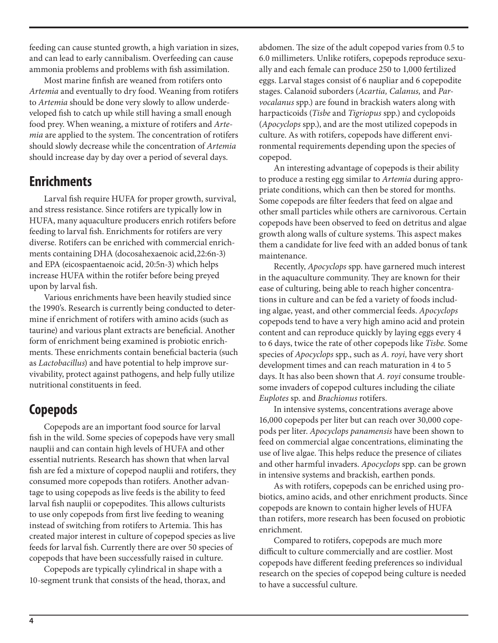feeding can cause stunted growth, a high variation in sizes, and can lead to early cannibalism. Overfeeding can cause ammonia problems and problems with fish assimilation.

Most marine finfish are weaned from rotifers onto *Artemia* and eventually to dry food. Weaning from rotifers to *Artemia* should be done very slowly to allow underdeveloped fish to catch up while still having a small enough food prey. When weaning, a mixture of rotifers and *Artemia* are applied to the system. The concentration of rotifers should slowly decrease while the concentration of *Artemia* should increase day by day over a period of several days.

#### **Enrichments**

Larval fish require HUFA for proper growth, survival, and stress resistance. Since rotifers are typically low in HUFA, many aquaculture producers enrich rotifers before feeding to larval fish. Enrichments for rotifers are very diverse. Rotifers can be enriched with commercial enrichments containing DHA (docosahexaenoic acid,22:6n-3) and EPA (eicospaentaenoic acid, 20:5n-3) which helps increase HUFA within the rotifer before being preyed upon by larval fish.

Various enrichments have been heavily studied since the 1990's. Research is currently being conducted to determine if enrichment of rotifers with amino acids (such as taurine) and various plant extracts are beneficial. Another form of enrichment being examined is probiotic enrichments. These enrichments contain beneficial bacteria (such as *Lactobacillus*) and have potential to help improve survivability, protect against pathogens, and help fully utilize nutritional constituents in feed.

## **Copepods**

Copepods are an important food source for larval fish in the wild. Some species of copepods have very small nauplii and can contain high levels of HUFA and other essential nutrients. Research has shown that when larval fish are fed a mixture of copepod nauplii and rotifers, they consumed more copepods than rotifers. Another advantage to using copepods as live feeds is the ability to feed larval fish nauplii or copepodites. This allows culturists to use only copepods from first live feeding to weaning instead of switching from rotifers to Artemia. This has created major interest in culture of copepod species as live feeds for larval fish. Currently there are over 50 species of copepods that have been successfully raised in culture.

Copepods are typically cylindrical in shape with a 10-segment trunk that consists of the head, thorax, and abdomen. The size of the adult copepod varies from 0.5 to 6.0 millimeters. Unlike rotifers, copepods reproduce sexually and each female can produce 250 to 1,000 fertilized eggs. Larval stages consist of 6 naupliar and 6 copepodite stages. Calanoid suborders (*Acartia, Calanus,* and *Parvocalanus* spp.) are found in brackish waters along with harpacticoids (*Tisbe* and *Tigriopus* spp.) and cyclopoids (*Apocyclops* spp.), and are the most utilized copepods in culture. As with rotifers, copepods have different environmental requirements depending upon the species of copepod.

An interesting advantage of copepods is their ability to produce a resting egg similar to *Artemia* during appropriate conditions, which can then be stored for months. Some copepods are filter feeders that feed on algae and other small particles while others are carnivorous. Certain copepods have been observed to feed on detritus and algae growth along walls of culture systems. This aspect makes them a candidate for live feed with an added bonus of tank maintenance.

Recently, *Apocyclops* spp. have garnered much interest in the aquaculture community. They are known for their ease of culturing, being able to reach higher concentrations in culture and can be fed a variety of foods including algae, yeast, and other commercial feeds. *Apocyclops*  copepods tend to have a very high amino acid and protein content and can reproduce quickly by laying eggs every 4 to 6 days, twice the rate of other copepods like *Tisbe.* Some species of *Apocyclops* spp., such as *A. royi,* have very short development times and can reach maturation in 4 to 5 days. It has also been shown that *A. royi* consume troublesome invaders of copepod cultures including the ciliate *Euplotes* sp. and *Brachionus* rotifers.

In intensive systems, concentrations average above 16,000 copepods per liter but can reach over 30,000 copepods per liter. *Apocyclops panamensis* have been shown to feed on commercial algae concentrations, eliminating the use of live algae. This helps reduce the presence of ciliates and other harmful invaders. *Apocyclops* spp. can be grown in intensive systems and brackish, earthen ponds.

As with rotifers, copepods can be enriched using probiotics, amino acids, and other enrichment products. Since copepods are known to contain higher levels of HUFA than rotifers, more research has been focused on probiotic enrichment.

Compared to rotifers, copepods are much more difficult to culture commercially and are costlier. Most copepods have different feeding preferences so individual research on the species of copepod being culture is needed to have a successful culture.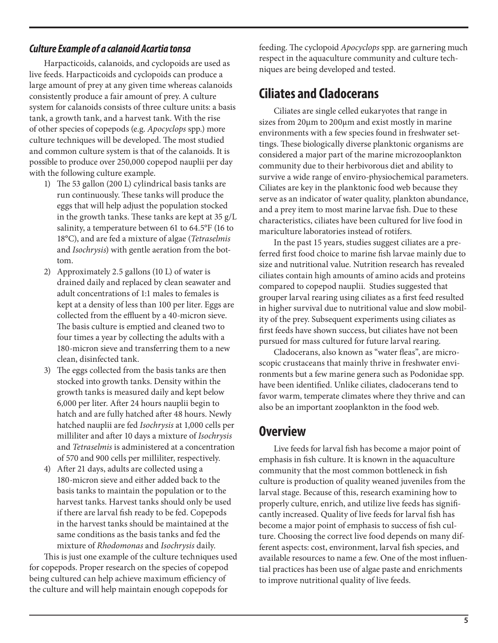#### *Culture Example of a calanoid Acartia tonsa*

Harpacticoids, calanoids, and cyclopoids are used as live feeds. Harpacticoids and cyclopoids can produce a large amount of prey at any given time whereas calanoids consistently produce a fair amount of prey. A culture system for calanoids consists of three culture units: a basis tank, a growth tank, and a harvest tank. With the rise of other species of copepods (e.g. *Apocyclops* spp.) more culture techniques will be developed. The most studied and common culture system is that of the calanoids. It is possible to produce over 250,000 copepod nauplii per day with the following culture example.

- 1) The 53 gallon (200 L) cylindrical basis tanks are run continuously. These tanks will produce the eggs that will help adjust the population stocked in the growth tanks. These tanks are kept at 35 g/L salinity, a temperature between 61 to 64.5°F (16 to 18°C), and are fed a mixture of algae (*Tetraselmis* and *Isochrysis*) with gentle aeration from the bottom.
- 2) Approximately 2.5 gallons (10 L) of water is drained daily and replaced by clean seawater and adult concentrations of 1:1 males to females is kept at a density of less than 100 per liter. Eggs are collected from the effluent by a 40-micron sieve. The basis culture is emptied and cleaned two to four times a year by collecting the adults with a 180-micron sieve and transferring them to a new clean, disinfected tank.
- 3) The eggs collected from the basis tanks are then stocked into growth tanks. Density within the growth tanks is measured daily and kept below 6,000 per liter. After 24 hours nauplii begin to hatch and are fully hatched after 48 hours. Newly hatched nauplii are fed *Isochrysis* at 1,000 cells per milliliter and after 10 days a mixture of *Isochrysis* and *Tetraselmis* is administered at a concentration of 570 and 900 cells per milliliter, respectively.
- 4) After 21 days, adults are collected using a 180-micron sieve and either added back to the basis tanks to maintain the population or to the harvest tanks. Harvest tanks should only be used if there are larval fish ready to be fed. Copepods in the harvest tanks should be maintained at the same conditions as the basis tanks and fed the mixture of *Rhodomonas* and *Isochrysis* daily.

This is just one example of the culture techniques used for copepods. Proper research on the species of copepod being cultured can help achieve maximum efficiency of the culture and will help maintain enough copepods for

feeding. The cyclopoid *Apocyclops* spp. are garnering much respect in the aquaculture community and culture techniques are being developed and tested.

## **Ciliates and Cladocerans**

Ciliates are single celled eukaryotes that range in sizes from 20μm to 200μm and exist mostly in marine environments with a few species found in freshwater settings. These biologically diverse planktonic organisms are considered a major part of the marine microzooplankton community due to their herbivorous diet and ability to survive a wide range of enviro-physiochemical parameters. Ciliates are key in the planktonic food web because they serve as an indicator of water quality, plankton abundance, and a prey item to most marine larvae fish. Due to these characteristics, ciliates have been cultured for live food in mariculture laboratories instead of rotifers.

In the past 15 years, studies suggest ciliates are a preferred first food choice to marine fish larvae mainly due to size and nutritional value. Nutrition research has revealed ciliates contain high amounts of amino acids and proteins compared to copepod nauplii. Studies suggested that grouper larval rearing using ciliates as a first feed resulted in higher survival due to nutritional value and slow mobility of the prey. Subsequent experiments using ciliates as first feeds have shown success, but ciliates have not been pursued for mass cultured for future larval rearing.

Cladocerans, also known as "water fleas", are microscopic crustaceans that mainly thrive in freshwater environments but a few marine genera such as Podonidae spp. have been identified. Unlike ciliates, cladocerans tend to favor warm, temperate climates where they thrive and can also be an important zooplankton in the food web.

### **Overview**

Live feeds for larval fish has become a major point of emphasis in fish culture. It is known in the aquaculture community that the most common bottleneck in fish culture is production of quality weaned juveniles from the larval stage. Because of this, research examining how to properly culture, enrich, and utilize live feeds has significantly increased. Quality of live feeds for larval fish has become a major point of emphasis to success of fish culture. Choosing the correct live food depends on many different aspects: cost, environment, larval fish species, and available resources to name a few. One of the most influential practices has been use of algae paste and enrichments to improve nutritional quality of live feeds.